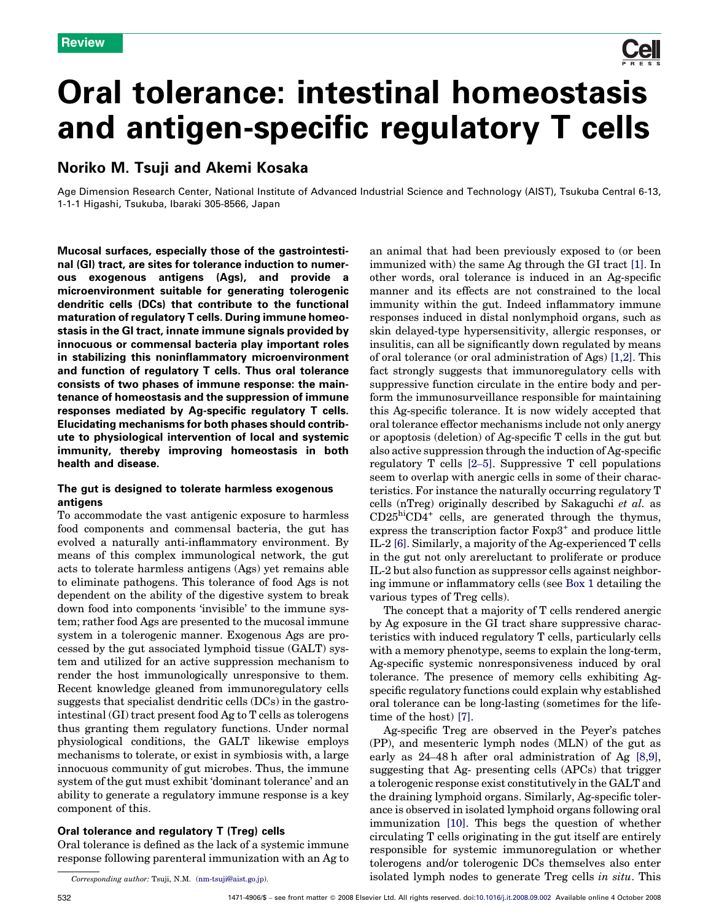# Oral tolerance: intestinal homeostasis and antigen-specific regulatory T cells

## Noriko M. Tsuji and Akemi Kosaka

Age Dimension Research Center, National Institute of Advanced Industrial Science and Technology (AIST), Tsukuba Central 6-13, 1-1-1 Higashi, Tsukuba, Ibaraki 305-8566, Japan

Mucosal surfaces, especially those of the gastrointestinal (GI) tract, are sites for tolerance induction to numerous exogenous antigens (Ags), and provide a microenvironment suitable for generating tolerogenic dendritic cells (DCs) that contribute to the functional maturation of regulatory T cells. During immune homeostasis in the GI tract, innate immune signals provided by innocuous or commensal bacteria play important roles in stabilizing this noninflammatory microenvironment and function of regulatory T cells. Thus oral tolerance consists of two phases of immune response: the maintenance of homeostasis and the suppression of immune responses mediated by Ag-specific regulatory T cells. Elucidating mechanisms for both phases should contribute to physiological intervention of local and systemic immunity, thereby improving homeostasis in both health and disease.

#### The gut is designed to tolerate harmless exogenous antigens

To accommodate the vast antigenic exposure to harmless food components and commensal bacteria, the gut has evolved a naturally anti-inflammatory environment. By means of this complex immunological network, the gut acts to tolerate harmless antigens (Ags) yet remains able to eliminate pathogens. This tolerance of food Ags is not dependent on the ability of the digestive system to break down food into components 'invisible' to the immune system; rather food Ags are presented to the mucosal immune system in a tolerogenic manner. Exogenous Ags are processed by the gut associated lymphoid tissue (GALT) system and utilized for an active suppression mechanism to render the host immunologically unresponsive to them. Recent knowledge gleaned from immunoregulatory cells suggests that specialist dendritic cells (DCs) in the gastrointestinal (GI) tract present food Ag to T cells as tolerogens thus granting them regulatory functions. Under normal physiological conditions, the GALT likewise employs mechanisms to tolerate, or exist in symbiosis with, a large innocuous community of gut microbes. Thus, the immune system of the gut must exhibit 'dominant tolerance' and an ability to generate a regulatory immune response is a key component of this.

### Oral tolerance and regulatory T (Treg) cells

Oral tolerance is defined as the lack of a systemic immune response following parenteral immunization with an Ag to an animal that had been previously exposed to (or been immunized with) the same Ag through the GI tract [\[1\].](#page-6-0) In other words, oral tolerance is induced in an Ag-specific manner and its effects are not constrained to the local immunity within the gut. Indeed inflammatory immune responses induced in distal nonlymphoid organs, such as skin delayed-type hypersensitivity, allergic responses, or insulitis, can all be significantly down regulated by means of oral tolerance (or oral administration of Ags) [\[1,2\]](#page-6-0). This fact strongly suggests that immunoregulatory cells with suppressive function circulate in the entire body and perform the immunosurveillance responsible for maintaining this Ag-specific tolerance. It is now widely accepted that oral tolerance effector mechanisms include not only anergy or apoptosis (deletion) of Ag-specific T cells in the gut but also active suppression through the induction of Ag-specific regulatory T cells [\[2](#page-6-0)–5]. Suppressive T cell populations seem to overlap with anergic cells in some of their characteristics. For instance the naturally occurring regulatory T cells (nTreg) originally described by Sakaguchi et al. as  $CD25^{\text{hi}}CD4^+$  cells, are generated through the thymus, express the transcription factor  $F\alpha p3^+$  and produce little IL-2 [\[6\].](#page-6-0) Similarly, a majority of the Ag-experienced T cells in the gut not only arereluctant to proliferate or produce IL-2 but also function as suppressor cells against neighboring immune or inflammatory cells (see [Box 1](#page-1-0) detailing the various types of Treg cells).

The concept that a majority of T cells rendered anergic by Ag exposure in the GI tract share suppressive characteristics with induced regulatory T cells, particularly cells with a memory phenotype, seems to explain the long-term, Ag-specific systemic nonresponsiveness induced by oral tolerance. The presence of memory cells exhibiting Agspecific regulatory functions could explain why established oral tolerance can be long-lasting (sometimes for the lifetime of the host) [\[7\].](#page-6-0)

Ag-specific Treg are observed in the Peyer's patches (PP), and mesenteric lymph nodes (MLN) of the gut as early as 24–48 h after oral administration of Ag [\[8,9\]](#page-6-0), suggesting that Ag- presenting cells (APCs) that trigger a tolerogenic response exist constitutively in the GALT and the draining lymphoid organs. Similarly, Ag-specific tolerance is observed in isolated lymphoid organs following oral immunization [\[10\]](#page-6-0). This begs the question of whether circulating T cells originating in the gut itself are entirely responsible for systemic immunoregulation or whether tolerogens and/or tolerogenic DCs themselves also enter isolated lymph nodes to generate Treg cells in situ. This

**Review** 

Corresponding author: Tsuji, N.M. ([nm-tsuji@aist.go.jp](mailto:nm-tsuji@aist.go.jp)).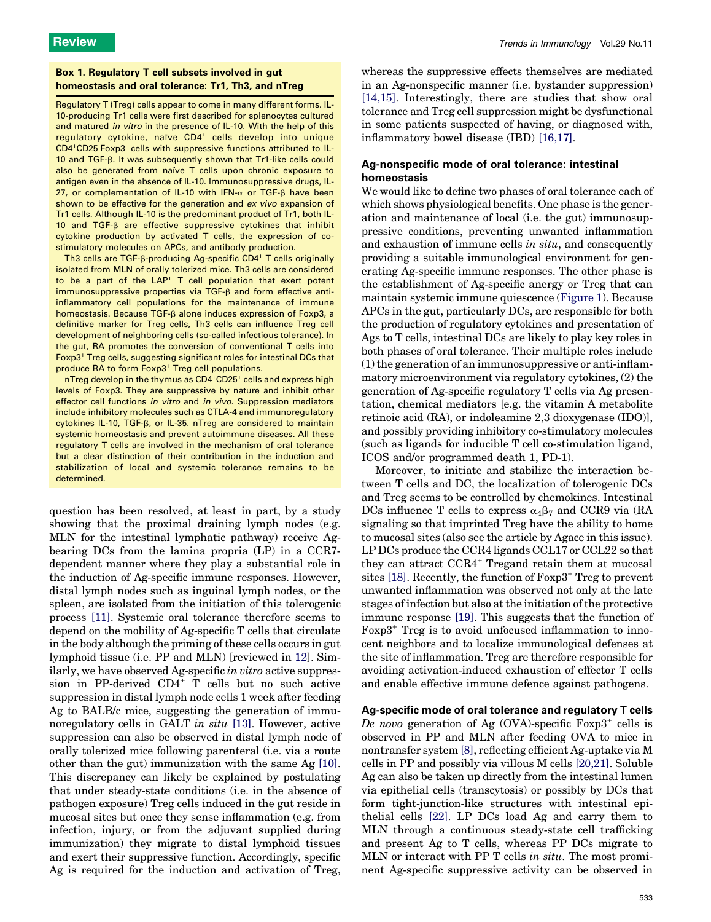#### <span id="page-1-0"></span>Box 1. Regulatory T cell subsets involved in gut homeostasis and oral tolerance: Tr1, Th3, and nTreg

Regulatory T (Treg) cells appear to come in many different forms. IL-10-producing Tr1 cells were first described for splenocytes cultured and matured in vitro in the presence of IL-10. With the help of this regulatory cytokine, naïve CD4<sup>+</sup> cells develop into unique CD4<sup>+</sup>CD25 Foxp3<sup>-</sup> cells with suppressive functions attributed to IL-10 and TGF-b. It was subsequently shown that Tr1-like cells could also be generated from naïve T cells upon chronic exposure to antigen even in the absence of IL-10. Immunosuppressive drugs, IL-27, or complementation of IL-10 with IFN- $\alpha$  or TGF- $\beta$  have been shown to be effective for the generation and ex vivo expansion of Tr1 cells. Although IL-10 is the predominant product of Tr1, both IL- $10$  and TGF- $\beta$  are effective suppressive cytokines that inhibit cytokine production by activated T cells, the expression of costimulatory molecules on APCs, and antibody production.

Th3 cells are TGF-8-producing Ag-specific CD4<sup>+</sup> T cells originally isolated from MLN of orally tolerized mice. Th3 cells are considered to be a part of the  $LAP^+$  T cell population that exert potent  $immunosuppressive$  properties via TGF- $\beta$  and form effective antiinflammatory cell populations for the maintenance of immune homeostasis. Because TGF-b alone induces expression of Foxp3, a definitive marker for Treg cells, Th3 cells can influence Treg cell development of neighboring cells (so-called infectious tolerance). In the gut, RA promotes the conversion of conventional T cells into Foxp3<sup>+</sup> Treg cells, suggesting significant roles for intestinal DCs that produce RA to form Foxp3<sup>+</sup> Treg cell populations.

nTreg develop in the thymus as CD4<sup>+</sup>CD25<sup>+</sup> cells and express high levels of Foxp3. They are suppressive by nature and inhibit other effector cell functions in vitro and in vivo. Suppression mediators include inhibitory molecules such as CTLA-4 and immunoregulatory cytokines IL-10, TGF- $\beta$ , or IL-35. nTreg are considered to maintain systemic homeostasis and prevent autoimmune diseases. All these regulatory T cells are involved in the mechanism of oral tolerance but a clear distinction of their contribution in the induction and stabilization of local and systemic tolerance remains to be determined.

question has been resolved, at least in part, by a study showing that the proximal draining lymph nodes (e.g. MLN for the intestinal lymphatic pathway) receive Agbearing DCs from the lamina propria (LP) in a CCR7 dependent manner where they play a substantial role in the induction of Ag-specific immune responses. However, distal lymph nodes such as inguinal lymph nodes, or the spleen, are isolated from the initiation of this tolerogenic process [\[11\]](#page-6-0). Systemic oral tolerance therefore seems to depend on the mobility of Ag-specific T cells that circulate in the body although the priming of these cells occurs in gut lymphoid tissue (i.e. PP and MLN) [reviewed in [12\]](#page-6-0). Similarly, we have observed Ag-specific in vitro active suppression in PP-derived CD4<sup>+</sup> T cells but no such active suppression in distal lymph node cells 1 week after feeding Ag to BALB/c mice, suggesting the generation of immunoregulatory cells in GALT in situ [\[13\].](#page-6-0) However, active suppression can also be observed in distal lymph node of orally tolerized mice following parenteral (i.e. via a route other than the gut) immunization with the same Ag [\[10\]](#page-6-0). This discrepancy can likely be explained by postulating that under steady-state conditions (i.e. in the absence of pathogen exposure) Treg cells induced in the gut reside in mucosal sites but once they sense inflammation (e.g. from infection, injury, or from the adjuvant supplied during immunization) they migrate to distal lymphoid tissues and exert their suppressive function. Accordingly, specific Ag is required for the induction and activation of Treg,

whereas the suppressive effects themselves are mediated in an Ag-nonspecific manner (i.e. bystander suppression) [\[14,15\]](#page-6-0). Interestingly, there are studies that show oral tolerance and Treg cell suppression might be dysfunctional in some patients suspected of having, or diagnosed with, inflammatory bowel disease (IBD) [\[16,17\].](#page-6-0)

#### Ag-nonspecific mode of oral tolerance: intestinal homeostasis

We would like to define two phases of oral tolerance each of which shows physiological benefits. One phase is the generation and maintenance of local (i.e. the gut) immunosuppressive conditions, preventing unwanted inflammation and exhaustion of immune cells in situ, and consequently providing a suitable immunological environment for generating Ag-specific immune responses. The other phase is the establishment of Ag-specific anergy or Treg that can maintain systemic immune quiescence ([Figure 1](#page-2-0)). Because APCs in the gut, particularly DCs, are responsible for both the production of regulatory cytokines and presentation of Ags to T cells, intestinal DCs are likely to play key roles in both phases of oral tolerance. Their multiple roles include (1) the generation of an immunosuppressive or anti-inflammatory microenvironment via regulatory cytokines, (2) the generation of Ag-specific regulatory T cells via Ag presentation, chemical mediators [e.g. the vitamin A metabolite retinoic acid (RA), or indoleamine 2,3 dioxygenase (IDO)], and possibly providing inhibitory co-stimulatory molecules (such as ligands for inducible T cell co-stimulation ligand, ICOS and/or programmed death 1, PD-1).

Moreover, to initiate and stabilize the interaction between T cells and DC, the localization of tolerogenic DCs and Treg seems to be controlled by chemokines. Intestinal DCs influence T cells to express  $\alpha_4\beta_7$  and CCR9 via (RA signaling so that imprinted Treg have the ability to home to mucosal sites (also see the article by Agace in this issue). LP DCs produce the CCR4 ligands CCL17 or CCL22 so that they can attract CCR4<sup>+</sup> Tregand retain them at mucosal sites [\[18\]](#page-6-0). Recently, the function of Foxp3<sup>+</sup> Treg to prevent unwanted inflammation was observed not only at the late stages of infection but also at the initiation of the protective immune response [\[19\]](#page-6-0). This suggests that the function of Foxp3<sup>+</sup> Treg is to avoid unfocused inflammation to innocent neighbors and to localize immunological defenses at the site of inflammation. Treg are therefore responsible for avoiding activation-induced exhaustion of effector T cells and enable effective immune defence against pathogens.

Ag-specific mode of oral tolerance and regulatory T cells De novo generation of Ag  $(OVA)$ -specific Foxp3<sup>+</sup> cells is observed in PP and MLN after feeding OVA to mice in nontransfer system [\[8\]](#page-6-0), reflecting efficient Ag-uptake via M cells in PP and possibly via villous M cells [\[20,21\]](#page-6-0). Soluble Ag can also be taken up directly from the intestinal lumen via epithelial cells (transcytosis) or possibly by DCs that form tight-junction-like structures with intestinal epithelial cells [\[22\]](#page-6-0). LP DCs load Ag and carry them to MLN through a continuous steady-state cell trafficking and present Ag to T cells, whereas PP DCs migrate to MLN or interact with PP T cells in situ. The most prominent Ag-specific suppressive activity can be observed in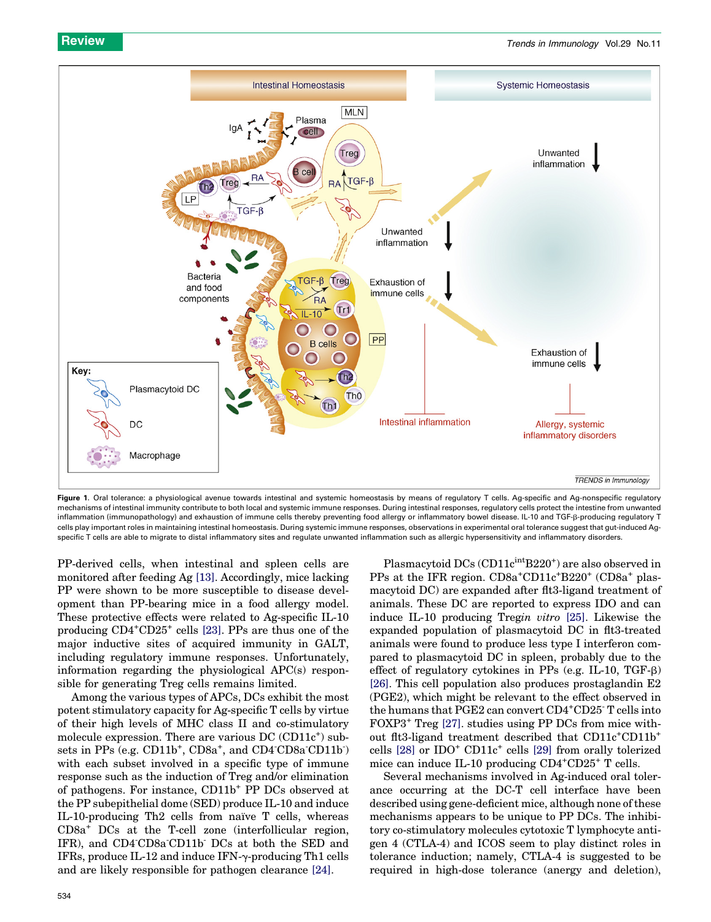<span id="page-2-0"></span>



Figure 1. Oral tolerance: a physiological avenue towards intestinal and systemic homeostasis by means of regulatory T cells. Ag-specific and Ag-nonspecific regulatory mechanisms of intestinal immunity contribute to both local and systemic immune responses. During intestinal responses, regulatory cells protect the intestine from unwanted inflammation (immunopathology) and exhaustion of immune cells thereby preventing food allergy or inflammatory bowel disease. IL-10 and TGF-ß-producing regulatory T cells play important roles in maintaining intestinal homeostasis. During systemic immune responses, observations in experimental oral tolerance suggest that gut-induced Agspecific T cells are able to migrate to distal inflammatory sites and regulate unwanted inflammation such as allergic hypersensitivity and inflammatory disorders.

PP-derived cells, when intestinal and spleen cells are monitored after feeding Ag [\[13\]](#page-6-0). Accordingly, mice lacking PP were shown to be more susceptible to disease development than PP-bearing mice in a food allergy model. These protective effects were related to Ag-specific IL-10 producing CD4<sup>+</sup>CD25<sup>+</sup> cells [\[23\].](#page-6-0) PPs are thus one of the major inductive sites of acquired immunity in GALT, including regulatory immune responses. Unfortunately, information regarding the physiological APC(s) responsible for generating Treg cells remains limited.

Among the various types of APCs, DCs exhibit the most potent stimulatory capacity for Ag-specific T cells by virtue of their high levels of MHC class II and co-stimulatory molecule expression. There are various DC (CD11c<sup>+</sup>) subsets in PPs (e.g. CD11b<sup>+</sup>, CD8a<sup>+</sup>, and CD4<sup>-</sup>CD8a<sup>-</sup>CD11b<sup>-</sup>) with each subset involved in a specific type of immune response such as the induction of Treg and/or elimination of pathogens. For instance, CD11b<sup>+</sup> PP DCs observed at the PP subepithelial dome (SED) produce IL-10 and induce IL-10-producing Th2 cells from naïve  $T$  cells, whereas CD8a<sup>+</sup> DCs at the T-cell zone (interfollicular region, IFR), and CD4<sup>-</sup>CD8a<sup>-</sup>CD11b<sup>-</sup> DCs at both the SED and IFRs, produce IL-12 and induce IFN-g-producing Th1 cells and are likely responsible for pathogen clearance [\[24\]](#page-6-0).

Plasmacytoid DCs (CD11c<sup>int</sup>B220<sup>+</sup>) are also observed in PPs at the IFR region. CD8a<sup>+</sup>CD11c<sup>+</sup>B220<sup>+</sup> (CD8a<sup>+</sup> plasmacytoid DC) are expanded after flt3-ligand treatment of animals. These DC are reported to express IDO and can induce IL-10 producing Tregin vitro [\[25\]](#page-6-0). Likewise the expanded population of plasmacytoid DC in flt3-treated animals were found to produce less type I interferon compared to plasmacytoid DC in spleen, probably due to the effect of regulatory cytokines in PPs (e.g. IL-10, TGF- $\beta$ ) [\[26\]](#page-6-0). This cell population also produces prostaglandin E2 (PGE2), which might be relevant to the effect observed in the humans that PGE2 can convert CD4<sup>+</sup> CD25- T cells into FOXP3+ Treg [\[27\]](#page-6-0). studies using PP DCs from mice without flt3-ligand treatment described that CD11c<sup>+</sup>CD11b<sup>+</sup> cells  $[28]$  or  $IDO<sup>+</sup> CD11c<sup>+</sup>$  cells  $[29]$  from orally tolerized mice can induce IL-10 producing CD4<sup>+</sup> CD25<sup>+</sup> T cells.

Several mechanisms involved in Ag-induced oral tolerance occurring at the DC-T cell interface have been described using gene-deficient mice, although none of these mechanisms appears to be unique to PP DCs. The inhibitory co-stimulatory molecules cytotoxic T lymphocyte antigen 4 (CTLA-4) and ICOS seem to play distinct roles in tolerance induction; namely, CTLA-4 is suggested to be required in high-dose tolerance (anergy and deletion),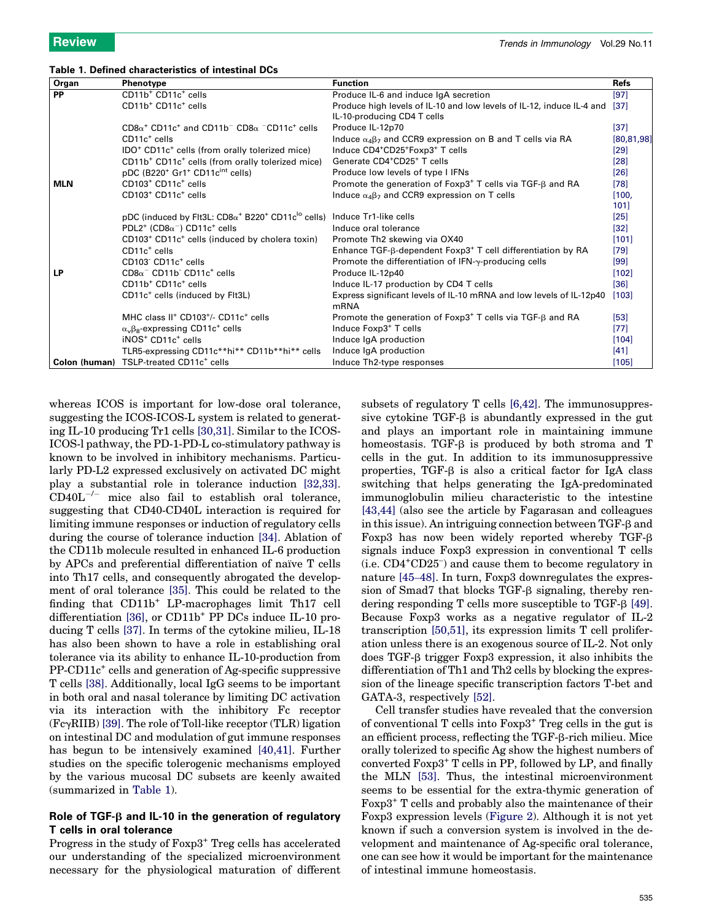<span id="page-3-0"></span>

| Table 1. Defined characteristics of intestinal DCs |  |
|----------------------------------------------------|--|
|----------------------------------------------------|--|

| Organ         | Phenotype                                                                                                  | <b>Function</b>                                                         | <b>Refs</b>  |
|---------------|------------------------------------------------------------------------------------------------------------|-------------------------------------------------------------------------|--------------|
| <b>PP</b>     | $CD11b+ CD11c+$ cells                                                                                      | Produce IL-6 and induce IgA secretion                                   | $[97]$       |
|               | CD11b <sup>+</sup> CD11c <sup>+</sup> cells                                                                | Produce high levels of IL-10 and low levels of IL-12, induce IL-4 and   | [37]         |
|               |                                                                                                            | IL-10-producing CD4 T cells                                             |              |
|               | $CD8\alpha^+$ CD11c <sup>+</sup> and CD11b <sup>-</sup> CD8 $\alpha$ <sup>-</sup> CD11c <sup>+</sup> cells | Produce IL-12p70                                                        | $[37]$       |
|               | $CD11c^+$ cells                                                                                            | Induce $\alpha_4\beta_7$ and CCR9 expression on B and T cells via RA    | [80, 81, 98] |
|               | IDO <sup>+</sup> CD11c <sup>+</sup> cells (from orally tolerized mice)                                     | Induce CD4+CD25+Foxp3+ T cells                                          | $[29]$       |
|               | CD11b <sup>+</sup> CD11c <sup>+</sup> cells (from orally tolerized mice)                                   | Generate CD4+CD25+ T cells                                              | [28]         |
|               | pDC (B220 <sup>+</sup> Gr1 <sup>+</sup> CD11c <sup>int</sup> cells)                                        | Produce low levels of type I IFNs                                       | $[26]$       |
| MLN           | $CD103+CD11c+$ cells                                                                                       | Promote the generation of $Foxp3+T$ cells via TGF- $\beta$ and RA       | $[78]$       |
|               | CD103 <sup>+</sup> CD11c <sup>+</sup> cells<br>Induce $\alpha_4\beta_7$ and CCR9 expression on T cells     |                                                                         | [100,        |
|               |                                                                                                            |                                                                         | 101]         |
|               | pDC (induced by Flt3L: $CD8\alpha^+$ B220 <sup>+</sup> CD11c <sup>lo</sup> cells) Induce Tr1-like cells    |                                                                         | $[25]$       |
|               | PDL2 <sup>+</sup> (CD8 $\alpha$ <sup>-</sup> ) CD11 $c$ <sup>+</sup> cells                                 | Induce oral tolerance                                                   | $[32]$       |
|               | CD103 <sup>+</sup> CD11c <sup>+</sup> cells (induced by cholera toxin)                                     | Promote Th2 skewing via OX40                                            | [101]        |
|               | $CD11c^+$ cells                                                                                            | Enhance TGF-β-dependent Foxp3 <sup>+</sup> T cell differentiation by RA | $[79]$       |
|               | CD103 CD11c <sup>+</sup> cells                                                                             | Promote the differentiation of IFN-y-producing cells                    | [99]         |
| LP            | $CD8\alpha$ <sup>-</sup> CD11b <sup>-</sup> CD11c <sup>+</sup> cells                                       | Produce IL-12p40                                                        | $[102]$      |
|               | $CD11b+ CD11c+$ cells                                                                                      | Induce IL-17 production by CD4 T cells                                  | $[36]$       |
|               | CD11c <sup>+</sup> cells (induced by Flt3L)                                                                | Express significant levels of IL-10 mRNA and low levels of IL-12p40     | $[103]$      |
|               |                                                                                                            | mRNA                                                                    |              |
|               | MHC class II <sup>+</sup> CD103 <sup>+</sup> /- CD11c <sup>+</sup> cells                                   | Promote the generation of Foxp3 <sup>+</sup> T cells via TGF-B and RA   | $[53]$       |
|               | $\alpha_{v} \beta_{8}$ -expressing CD11c <sup>+</sup> cells                                                | Induce Foxp3 <sup>+</sup> T cells                                       | $[77]$       |
|               | iNOS <sup>+</sup> CD11c <sup>+</sup> cells                                                                 | Induce IgA production                                                   | $[104]$      |
|               | TLR5-expressing CD11c**hi** CD11b**hi** cells                                                              | Induce IgA production                                                   | $[41]$       |
| Colon (human) | TSLP-treated CD11c <sup>+</sup> cells                                                                      | Induce Th2-type responses                                               | [105]        |
|               |                                                                                                            |                                                                         |              |

whereas ICOS is important for low-dose oral tolerance, suggesting the ICOS-ICOS-L system is related to generating IL-10 producing Tr1 cells [\[30,31\].](#page-7-0) Similar to the ICOS-ICOS-l pathway, the PD-1-PD-L co-stimulatory pathway is known to be involved in inhibitory mechanisms. Particularly PD-L2 expressed exclusively on activated DC might play a substantial role in tolerance induction [\[32,33\]](#page-7-0).  $CD40L^{-/-}$  mice also fail to establish oral tolerance, suggesting that CD40-CD40L interaction is required for limiting immune responses or induction of regulatory cells during the course of tolerance induction [\[34\]](#page-7-0). Ablation of the CD11b molecule resulted in enhanced IL-6 production by APCs and preferential differentiation of naïve T cells into Th17 cells, and consequently abrogated the development of oral tolerance [\[35\]](#page-7-0). This could be related to the finding that CD11b<sup>+</sup> LP-macrophages limit Th17 cell differentiation [\[36\],](#page-7-0) or  $CD11b^+$  PP DCs induce IL-10 producing T cells [\[37\].](#page-7-0) In terms of the cytokine milieu, IL-18 has also been shown to have a role in establishing oral tolerance via its ability to enhance IL-10-production from PP-CD11c<sup>+</sup> cells and generation of Ag-specific suppressive T cells [\[38\]](#page-7-0). Additionally, local IgG seems to be important in both oral and nasal tolerance by limiting DC activation via its interaction with the inhibitory Fc receptor  $(Fc\gamma RIIB)$  [\[39\]](#page-7-0). The role of Toll-like receptor (TLR) ligation on intestinal DC and modulation of gut immune responses has begun to be intensively examined [\[40,41\].](#page-7-0) Further studies on the specific tolerogenic mechanisms employed by the various mucosal DC subsets are keenly awaited (summarized in Table 1).

#### Role of TGF- $\beta$  and IL-10 in the generation of regulatory T cells in oral tolerance

Progress in the study of Foxp3<sup>+</sup> Treg cells has accelerated our understanding of the specialized microenvironment necessary for the physiological maturation of different subsets of regulatory T cells [\[6,42\].](#page-6-0) The immunosuppressive cytokine  $TGF- $\beta$  is abundantly expressed in the gut$ and plays an important role in maintaining immune homeostasis. TGF- $\beta$  is produced by both stroma and T cells in the gut. In addition to its immunosuppressive properties, TGF- $\beta$  is also a critical factor for IgA class switching that helps generating the IgA-predominated immunoglobulin milieu characteristic to the intestine [\[43,44\]](#page-7-0) (also see the article by Fagarasan and colleagues in this issue). An intriguing connection between  $TGF- $\beta$  and$ Foxp3 has now been widely reported whereby TGF-b signals induce Foxp3 expression in conventional T cells (i.e. CD4+ CD25– ) and cause them to become regulatory in nature [45–[48\]](#page-7-0). In turn, Foxp3 downregulates the expression of Smad7 that blocks  $TGF- $\beta$  signaling, thereby ren$ dering responding T cells more susceptible to TGF- $\beta$  [\[49\]](#page-7-0). Because Foxp3 works as a negative regulator of IL-2 transcription [\[50,51\]](#page-7-0), its expression limits T cell proliferation unless there is an exogenous source of IL-2. Not only does TGF-b trigger Foxp3 expression, it also inhibits the differentiation of Th1 and Th2 cells by blocking the expression of the lineage specific transcription factors T-bet and GATA-3, respectively [\[52\]](#page-7-0).

Cell transfer studies have revealed that the conversion of conventional T cells into Foxp3<sup>+</sup> Treg cells in the gut is an efficient process, reflecting the TGF-b-rich milieu. Mice orally tolerized to specific Ag show the highest numbers of converted Foxp3<sup>+</sup> T cells in PP, followed by LP, and finally the MLN [\[53\].](#page-7-0) Thus, the intestinal microenvironment seems to be essential for the extra-thymic generation of Foxp3<sup>+</sup> T cells and probably also the maintenance of their Foxp3 expression levels ([Figure 2](#page-4-0)). Although it is not yet known if such a conversion system is involved in the development and maintenance of Ag-specific oral tolerance, one can see how it would be important for the maintenance of intestinal immune homeostasis.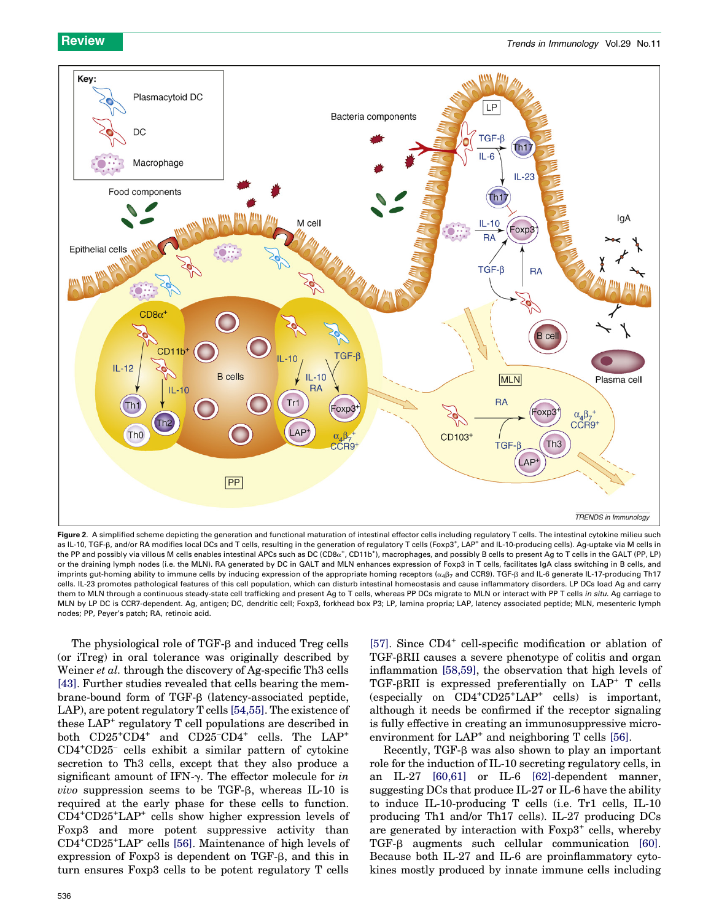<span id="page-4-0"></span>

Figure 2. A simplified scheme depicting the generation and functional maturation of intestinal effector cells including regulatory T cells. The intestinal cytokine milieu such as IL-10, TGF-β, and/or RA modifies local DCs and T cells, resulting in the generation of regulatory T cells (Foxp3<sup>+</sup>, LAP<sup>+</sup> and IL-10-producing cells). Ag-uptake via M cells in the PP and possibly via villous M cells enables intestinal APCs such as DC (CD8 $\alpha^*$ , CD11b\*), macrophages, and possibly B cells to present Ag to T cells in the GALT (PP, LP) or the draining lymph nodes (i.e. the MLN). RA generated by DC in GALT and MLN enhances expression of Foxp3 in T cells, facilitates IgA class switching in B cells, and imprints gut-homing ability to immune cells by inducing expression of the appropriate homing receptors ( $\alpha_4\beta_7$  and CCR9). TGF- $\beta$  and IL-6 generate IL-17-producing Th17 cells. IL-23 promotes pathological features of this cell population, which can disturb intestinal homeostasis and cause inflammatory disorders. LP DCs load Ag and carry them to MLN through a continuous steady-state cell trafficking and present Ag to T cells, whereas PP DCs migrate to MLN or interact with PP T cells in situ. Ag carriage to MLN by LP DC is CCR7-dependent. Ag, antigen; DC, dendritic cell; Foxp3, forkhead box P3; LP, lamina propria; LAP, latency associated peptide; MLN, mesenteric lymph nodes; PP, Peyer's patch; RA, retinoic acid.

The physiological role of TGF- $\beta$  and induced Treg cells (or iTreg) in oral tolerance was originally described by Weiner *et al.* through the discovery of Ag-specific Th3 cells [\[43\]](#page-7-0). Further studies revealed that cells bearing the membrane-bound form of TGF-b (latency-associated peptide, LAP), are potent regulatory T cells [\[54,55\]](#page-7-0). The existence of these LAP<sup>+</sup> regulatory T cell populations are described in both CD25<sup>+</sup>CD4<sup>+</sup> and CD25<sup>-</sup>CD4<sup>+</sup> cells. The LAP<sup>+</sup> CD4<sup>+</sup> CD25– cells exhibit a similar pattern of cytokine secretion to Th3 cells, except that they also produce a significant amount of IFN- $\gamma$ . The effector molecule for in *vivo* suppression seems to be TGF- $\beta$ , whereas IL-10 is required at the early phase for these cells to function. CD4<sup>+</sup> CD25<sup>+</sup> LAP+ cells show higher expression levels of Foxp3 and more potent suppressive activity than CD4<sup>+</sup> CD25<sup>+</sup> LAP- cells [\[56\].](#page-7-0) Maintenance of high levels of expression of Foxp3 is dependent on  $TGF- $\beta$ , and this in$ turn ensures Foxp3 cells to be potent regulatory T cells [\[57\]](#page-7-0). Since CD4<sup>+</sup> cell-specific modification or ablation of TGF-bRII causes a severe phenotype of colitis and organ inflammation [\[58,59\]](#page-7-0), the observation that high levels of TGF- $\beta$ RII is expressed preferentially on LAP<sup>+</sup> T cells (especially on CD4<sup>+</sup> CD25<sup>+</sup> LAP+ cells) is important, although it needs be confirmed if the receptor signaling is fully effective in creating an immunosuppressive microenvironment for  $LAP^+$  and neighboring T cells [\[56\]](#page-7-0).

Recently,  $TGF- $\beta$  was also shown to play an important$ role for the induction of IL-10 secreting regulatory cells, in an IL-27 [\[60,61\]](#page-7-0) or IL-6 [\[62\]-](#page-7-0)dependent manner, suggesting DCs that produce IL-27 or IL-6 have the ability to induce IL-10-producing T cells (i.e. Tr1 cells, IL-10 producing Th1 and/or Th17 cells). IL-27 producing DCs are generated by interaction with  $F\alpha p3^+$  cells, whereby TGF- $\beta$  augments such cellular communication [\[60\]](#page-7-0). Because both IL-27 and IL-6 are proinflammatory cytokines mostly produced by innate immune cells including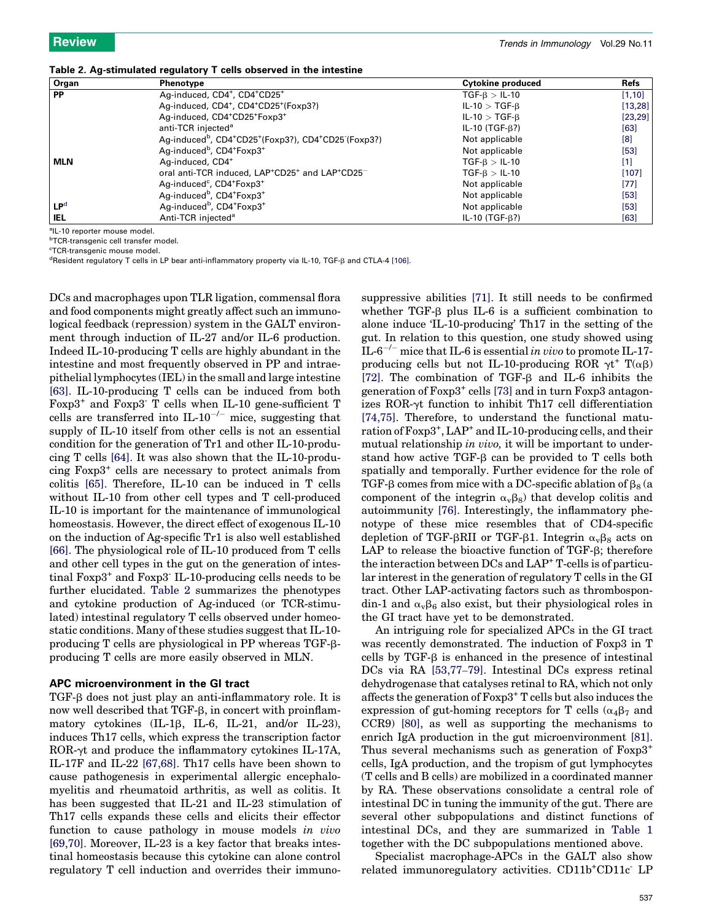| Organ           | Phenotype                                                                                                          | <b>Cytokine produced</b> | <b>Refs</b> |
|-----------------|--------------------------------------------------------------------------------------------------------------------|--------------------------|-------------|
| <b>PP</b>       | Ag-induced, CD4 <sup>+</sup> , CD4 <sup>+</sup> CD25 <sup>+</sup>                                                  | $TGF-B > IL-10$          | [1, 10]     |
|                 | Ag-induced, CD4 <sup>+</sup> , CD4 <sup>+</sup> CD25 <sup>+</sup> (Foxp3?)                                         | IL-10 $>$ TGF- $\beta$   | [13, 28]    |
|                 | Ag-induced, CD4+CD25+Foxp3+                                                                                        | IL-10 $>$ TGF- $\beta$   | [23, 29]    |
|                 | anti-TCR injected <sup>a</sup>                                                                                     | IL-10 (TGF- $\beta$ ?)   | $[63]$      |
|                 | Ag-induced <sup>b</sup> , CD4 <sup>+</sup> CD25 <sup>+</sup> (Foxp3?), CD4 <sup>+</sup> CD25 <sup>-</sup> (Foxp3?) | Not applicable           | [8]         |
|                 | Ag-induced <sup>b</sup> , CD4 <sup>+</sup> Foxp3 <sup>+</sup>                                                      | Not applicable           | $[53]$      |
| <b>MLN</b>      | Ag-induced, CD4 <sup>+</sup>                                                                                       | $TGF-B > IL-10$          | $[1]$       |
|                 | oral anti-TCR induced, LAP <sup>+</sup> CD25 <sup>+</sup> and LAP <sup>+</sup> CD25 <sup>-</sup>                   | $TGF-B > IL-10$          | [107]       |
|                 | Ag-induced <sup>c</sup> , CD4+Foxp3+                                                                               | Not applicable           | [77]        |
|                 | Ag-induced <sup>b</sup> , CD4 <sup>+</sup> Foxp3 <sup>+</sup>                                                      | Not applicable           | $[53]$      |
| LP <sup>d</sup> | Ag-induced <sup>b</sup> , CD4+Foxp3+                                                                               | Not applicable           | $[53]$      |
| IEL             | Anti-TCR injected <sup>a</sup>                                                                                     | IL-10 (TGF- $\beta$ ?)   | $[63]$      |

Table 2. Ag-stimulated regulatory T cells observed in the intestine

<sup>a</sup>lL-10 reporter mouse model.

<sup>b</sup>TCR-transgenic cell transfer model.

c TCR-transgenic mouse model.

<sup>d</sup>Resident regulatory T cells in LP bear anti-inflammatory property via IL-10, TGF-β and CTLA-4 [\[106\].](#page-8-0)

DCs and macrophages upon TLR ligation, commensal flora and food components might greatly affect such an immunological feedback (repression) system in the GALT environment through induction of IL-27 and/or IL-6 production. Indeed IL-10-producing T cells are highly abundant in the intestine and most frequently observed in PP and intraepithelial lymphocytes (IEL) in the small and large intestine [\[63\]](#page-7-0). IL-10-producing T cells can be induced from both Foxp $3^+$  and Foxp $3^-$  T cells when IL-10 gene-sufficient T cells are transferred into IL-10<sup> $-/-$ </sup> mice, suggesting that supply of IL-10 itself from other cells is not an essential condition for the generation of Tr1 and other IL-10-producing T cells [\[64\].](#page-7-0) It was also shown that the IL-10-producing Foxp3<sup>+</sup> cells are necessary to protect animals from colitis [\[65\].](#page-7-0) Therefore, IL-10 can be induced in T cells without IL-10 from other cell types and T cell-produced IL-10 is important for the maintenance of immunological homeostasis. However, the direct effect of exogenous IL-10 on the induction of Ag-specific Tr1 is also well established [\[66\]](#page-7-0). The physiological role of IL-10 produced from T cells and other cell types in the gut on the generation of intestinal Foxp3<sup>+</sup> and Foxp3- IL-10-producing cells needs to be further elucidated. Table 2 summarizes the phenotypes and cytokine production of Ag-induced (or TCR-stimulated) intestinal regulatory T cells observed under homeostatic conditions. Many of these studies suggest that IL-10 producing T cells are physiological in PP whereas TGF-bproducing T cells are more easily observed in MLN.

#### APC microenvironment in the GI tract

TGF-b does not just play an anti-inflammatory role. It is now well described that  $TGF- $\beta$ , in concert with proinflam$ matory cytokines  $(IL-1\beta, IL-6, IL-21, and/or IL-23),$ induces Th17 cells, which express the transcription factor ROR- $\gamma t$  and produce the inflammatory cytokines IL-17A, IL-17F and IL-22 [\[67,68\]](#page-7-0). Th17 cells have been shown to cause pathogenesis in experimental allergic encephalomyelitis and rheumatoid arthritis, as well as colitis. It has been suggested that IL-21 and IL-23 stimulation of Th17 cells expands these cells and elicits their effector function to cause pathology in mouse models in vivo [\[69,70\]](#page-7-0). Moreover, IL-23 is a key factor that breaks intestinal homeostasis because this cytokine can alone control regulatory T cell induction and overrides their immuno-

suppressive abilities [\[71\].](#page-7-0) It still needs to be confirmed whether TGF- $\beta$  plus IL-6 is a sufficient combination to alone induce 'IL-10-producing' Th17 in the setting of the gut. In relation to this question, one study showed using IL- $6^{-/-}$  mice that IL-6 is essential in vivo to promote IL-17producing cells but not IL-10-producing ROR  $\gamma t^+$  T( $\alpha\beta$ ) [\[72\]](#page-7-0). The combination of TGF- $\beta$  and IL-6 inhibits the generation of Foxp3<sup>+</sup> cells [\[73\]](#page-7-0) and in turn Foxp3 antagonizes ROR- $\gamma t$  function to inhibit Th17 cell differentiation [\[74,75\]](#page-7-0). Therefore, to understand the functional maturation of Foxp3<sup>+</sup>, LAP<sup>+</sup> and IL-10-producing cells, and their mutual relationship in vivo, it will be important to understand how active  $TGF- $\beta$  can be provided to  $T$  cells both$ spatially and temporally. Further evidence for the role of TGF- $\beta$  comes from mice with a DC-specific ablation of  $\beta_8$  (a component of the integrin  $\alpha_{\rm v}\beta_8$ ) that develop colitis and autoimmunity [\[76\].](#page-7-0) Interestingly, the inflammatory phenotype of these mice resembles that of CD4-specific depletion of TGF- $\beta$ RII or TGF- $\beta$ 1. Integrin  $\alpha_{\rm v} \beta_{\rm 8}$  acts on LAP to release the bioactive function of  $TGF- $\beta$ ; therefore$ the interaction between DCs and LAP+ T-cells is of particular interest in the generation of regulatory T cells in the GI tract. Other LAP-activating factors such as thrombospondin-1 and  $\alpha_{\rm v}\beta_6$  also exist, but their physiological roles in the GI tract have yet to be demonstrated.

An intriguing role for specialized APCs in the GI tract was recently demonstrated. The induction of Foxp3 in T cells by  $TGF- $\beta$  is enhanced in the presence of intestinal$ DCs via RA [\[53,77](#page-7-0)–79]. Intestinal DCs express retinal dehydrogenase that catalyses retinal to RA, which not only affects the generation of Foxp3<sup>+</sup> T cells but also induces the expression of gut-homing receptors for T cells  $(\alpha_4\beta_7)$  and CCR9) [\[80\]](#page-8-0), as well as supporting the mechanisms to enrich IgA production in the gut microenvironment [\[81\]](#page-8-0). Thus several mechanisms such as generation of  $F\alpha p3^+$ cells, IgA production, and the tropism of gut lymphocytes (T cells and B cells) are mobilized in a coordinated manner by RA. These observations consolidate a central role of intestinal DC in tuning the immunity of the gut. There are several other subpopulations and distinct functions of intestinal DCs, and they are summarized in [Table 1](#page-3-0) together with the DC subpopulations mentioned above.

Specialist macrophage-APCs in the GALT also show related immunoregulatory activities. CD11b+CD11c<sup>-</sup> LP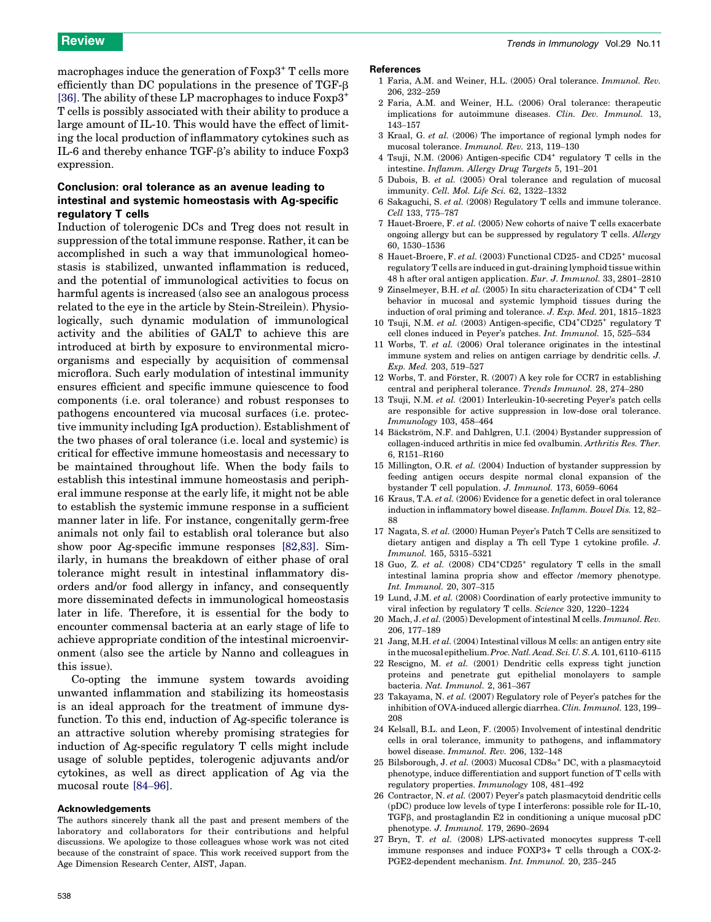<span id="page-6-0"></span>macrophages induce the generation of  $F(xp3<sup>+</sup> T$  cells more efficiently than DC populations in the presence of TGF-b [\[36\]](#page-7-0). The ability of these LP macrophages to induce Foxp3<sup>+</sup> T cells is possibly associated with their ability to produce a large amount of IL-10. This would have the effect of limiting the local production of inflammatory cytokines such as IL-6 and thereby enhance TGF-b's ability to induce Foxp3 expression.

#### Conclusion: oral tolerance as an avenue leading to intestinal and systemic homeostasis with Ag-specific regulatory T cells

Induction of tolerogenic DCs and Treg does not result in suppression of the total immune response. Rather, it can be accomplished in such a way that immunological homeostasis is stabilized, unwanted inflammation is reduced, and the potential of immunological activities to focus on harmful agents is increased (also see an analogous process related to the eye in the article by Stein-Streilein). Physiologically, such dynamic modulation of immunological activity and the abilities of GALT to achieve this are introduced at birth by exposure to environmental microorganisms and especially by acquisition of commensal microflora. Such early modulation of intestinal immunity ensures efficient and specific immune quiescence to food components (i.e. oral tolerance) and robust responses to pathogens encountered via mucosal surfaces (i.e. protective immunity including IgA production). Establishment of the two phases of oral tolerance (i.e. local and systemic) is critical for effective immune homeostasis and necessary to be maintained throughout life. When the body fails to establish this intestinal immune homeostasis and peripheral immune response at the early life, it might not be able to establish the systemic immune response in a sufficient manner later in life. For instance, congenitally germ-free animals not only fail to establish oral tolerance but also show poor Ag-specific immune responses [\[82,83\]](#page-8-0). Similarly, in humans the breakdown of either phase of oral tolerance might result in intestinal inflammatory disorders and/or food allergy in infancy, and consequently more disseminated defects in immunological homeostasis later in life. Therefore, it is essential for the body to encounter commensal bacteria at an early stage of life to achieve appropriate condition of the intestinal microenvironment (also see the article by Nanno and colleagues in this issue).

Co-opting the immune system towards avoiding unwanted inflammation and stabilizing its homeostasis is an ideal approach for the treatment of immune dysfunction. To this end, induction of Ag-specific tolerance is an attractive solution whereby promising strategies for induction of Ag-specific regulatory T cells might include usage of soluble peptides, tolerogenic adjuvants and/or cytokines, as well as direct application of Ag via the mucosal route [\[84](#page-8-0)–96].

#### Acknowledgements

The authors sincerely thank all the past and present members of the laboratory and collaborators for their contributions and helpful discussions. We apologize to those colleagues whose work was not cited because of the constraint of space. This work received support from the Age Dimension Research Center, AIST, Japan.

#### References

- 1 Faria, A.M. and Weiner, H.L. (2005) Oral tolerance. Immunol. Rev. 206, 232–259
- 2 Faria, A.M. and Weiner, H.L. (2006) Oral tolerance: therapeutic implications for autoimmune diseases. Clin. Dev. Immunol. 13, 143–157
- 3 Kraal, G. et al. (2006) The importance of regional lymph nodes for mucosal tolerance. Immunol. Rev. 213, 119–130
- 4 Tsuji, N.M. (2006) Antigen-specific CD4<sup>+</sup> regulatory T cells in the intestine. Inflamm. Allergy Drug Targets 5, 191–201
- 5 Dubois, B. et al. (2005) Oral tolerance and regulation of mucosal immunity. Cell. Mol. Life Sci. 62, 1322–1332
- 6 Sakaguchi, S. et al. (2008) Regulatory T cells and immune tolerance. Cell 133, 775–787
- 7 Hauet-Broere, F. et al. (2005) New cohorts of naive T cells exacerbate ongoing allergy but can be suppressed by regulatory T cells. Allergy 60, 1530–1536
- 8 Hauet-Broere, F. et al. (2003) Functional CD25- and CD25<sup>+</sup> mucosal regulatory T cells are induced in gut-draining lymphoid tissue within 48 h after oral antigen application. Eur. J. Immunol. 33, 2801–2810
- 9 Zinselmeyer, B.H. et al. (2005) In situ characterization of CD4<sup>+</sup> T cell behavior in mucosal and systemic lymphoid tissues during the induction of oral priming and tolerance. J. Exp. Med. 201, 1815–1823
- 10 Tsuji, N.M. et al. (2003) Antigen-specific, CD4<sup>+</sup>CD25<sup>+</sup> regulatory T cell clones induced in Peyer's patches. Int. Immunol. 15, 525–534
- 11 Worbs, T. et al. (2006) Oral tolerance originates in the intestinal immune system and relies on antigen carriage by dendritic cells. J. Exp. Med. 203, 519–527
- 12 Worbs, T. and Förster, R. (2007) A key role for CCR7 in establishing central and peripheral tolerance. Trends Immunol. 28, 274–280
- 13 Tsuji, N.M. et al. (2001) Interleukin-10-secreting Peyer's patch cells are responsible for active suppression in low-dose oral tolerance. Immunology 103, 458–464
- 14 Bäckström, N.F. and Dahlgren, U.I. (2004) Bystander suppression of collagen-induced arthritis in mice fed ovalbumin. Arthritis Res. Ther. 6, R151–R160
- 15 Millington, O.R. et al. (2004) Induction of bystander suppression by feeding antigen occurs despite normal clonal expansion of the bystander T cell population. J. Immunol. 173, 6059–6064
- 16 Kraus, T.A. et al. (2006) Evidence for a genetic defect in oral tolerance induction in inflammatory bowel disease. Inflamm. Bowel Dis. 12, 82– 88
- 17 Nagata, S. et al. (2000) Human Peyer's Patch T Cells are sensitized to dietary antigen and display a Th cell Type 1 cytokine profile. J. Immunol. 165, 5315–5321
- 18 Guo, Z. et al. (2008) CD4+CD25+ regulatory T cells in the small intestinal lamina propria show and effector /memory phenotype. Int. Immunol. 20, 307–315
- 19 Lund, J.M. et al. (2008) Coordination of early protective immunity to viral infection by regulatory T cells. Science 320, 1220–1224
- 20 Mach, J. et al. (2005) Development of intestinal M cells. Immunol. Rev. 206, 177–189
- 21 Jang, M.H. et al. (2004) Intestinal villous M cells: an antigen entry site in themucosal epithelium.Proc.Natl.Acad.Sci. U.S.A.101, 6110–6115
- 22 Rescigno, M. et al. (2001) Dendritic cells express tight junction proteins and penetrate gut epithelial monolayers to sample bacteria. Nat. Immunol. 2, 361–367
- 23 Takayama, N. et al. (2007) Regulatory role of Peyer's patches for the inhibition of OVA-induced allergic diarrhea. Clin. Immunol. 123, 199– 208
- 24 Kelsall, B.L. and Leon, F. (2005) Involvement of intestinal dendritic cells in oral tolerance, immunity to pathogens, and inflammatory bowel disease. Immunol. Rev. 206, 132–148
- 25 Bilsborough, J. et al. (2003) Mucosal  $CD8\alpha^+$  DC, with a plasmacytoid phenotype, induce differentiation and support function of T cells with regulatory properties. Immunology 108, 481–492
- 26 Contractor, N. et al. (2007) Peyer's patch plasmacytoid dendritic cells (pDC) produce low levels of type I interferons: possible role for IL-10, TGF<sub>B</sub>, and prostaglandin E<sub>2</sub> in conditioning a unique mucosal pDC phenotype. J. Immunol. 179, 2690–2694
- 27 Bryn, T. et al. (2008) LPS-activated monocytes suppress T-cell immune responses and induce FOXP3+ T cells through a COX-2- PGE2-dependent mechanism. Int. Immunol. 20, 235–245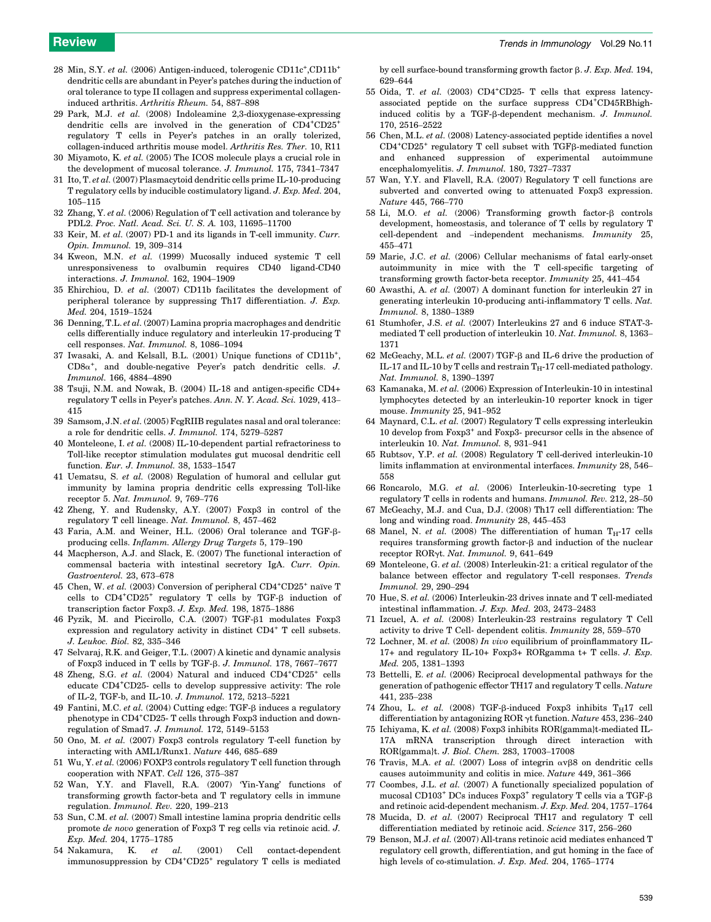- <span id="page-7-0"></span>28 Min, S.Y. et al. (2006) Antigen-induced, tolerogenic CD11c<sup>+</sup>,CD11b<sup>+</sup> dendritic cells are abundant in Peyer's patches during the induction of oral tolerance to type II collagen and suppress experimental collageninduced arthritis. Arthritis Rheum. 54, 887–898
- 29 Park, M.J. et al. (2008) Indoleamine 2,3-dioxygenase-expressing dendritic cells are involved in the generation of CD4+CD25+ regulatory T cells in Peyer's patches in an orally tolerized, collagen-induced arthritis mouse model. Arthritis Res. Ther. 10, R11
- 30 Miyamoto, K. et al. (2005) The ICOS molecule plays a crucial role in the development of mucosal tolerance. J. Immunol. 175, 7341–7347
- 31 Ito, T. et al. (2007) Plasmacytoid dendritic cells prime IL-10-producing T regulatory cells by inducible costimulatory ligand. J. Exp. Med. 204, 105–115
- 32 Zhang, Y. et al. (2006) Regulation of T cell activation and tolerance by PDL2. Proc. Natl. Acad. Sci. U. S. A. 103, 11695–11700
- 33 Keir, M. et al. (2007) PD-1 and its ligands in T-cell immunity. Curr. Opin. Immunol. 19, 309–314
- 34 Kweon, M.N. et al. (1999) Mucosally induced systemic T cell unresponsiveness to ovalbumin requires CD40 ligand-CD40 interactions. J. Immunol. 162, 1904–1909
- 35 Ehirchiou, D. et al. (2007) CD11b facilitates the development of peripheral tolerance by suppressing Th17 differentiation. J. Exp. Med. 204, 1519–1524
- 36 Denning, T.L. et al. (2007) Lamina propria macrophages and dendritic cells differentially induce regulatory and interleukin 17-producing T cell responses. Nat. Immunol. 8, 1086–1094
- 37 Iwasaki, A. and Kelsall, B.L. (2001) Unique functions of CD11b<sup>+</sup>,  $CDS\alpha^{+}$ , and double-negative Peyer's patch dendritic cells. J. Immunol. 166, 4884–4890
- 38 Tsuji, N.M. and Nowak, B. (2004) IL-18 and antigen-specific CD4+ regulatory T cells in Peyer's patches. Ann. N. Y. Acad. Sci. 1029, 413– 415
- 39 Samsom, J.N. et al. (2005) FcgRIIB regulates nasal and oral tolerance: a role for dendritic cells. J. Immunol. 174, 5279–5287
- 40 Monteleone, I. et al. (2008) IL-10-dependent partial refractoriness to Toll-like receptor stimulation modulates gut mucosal dendritic cell function. Eur. J. Immunol. 38, 1533–1547
- 41 Uematsu, S. et al. (2008) Regulation of humoral and cellular gut immunity by lamina propria dendritic cells expressing Toll-like receptor 5. Nat. Immunol. 9, 769–776
- 42 Zheng, Y. and Rudensky, A.Y. (2007) Foxp3 in control of the regulatory T cell lineage. Nat. Immunol. 8, 457–462
- 43 Faria, A.M. and Weiner, H.L. (2006) Oral tolerance and TGF-bproducing cells. Inflamm. Allergy Drug Targets 5, 179–190
- 44 Macpherson, A.J. and Slack, E. (2007) The functional interaction of commensal bacteria with intestinal secretory IgA. Curr. Opin. Gastroenterol. 23, 673–678
- 45 Chen, W. et al. (2003) Conversion of peripheral CD4<sup>+</sup>CD25<sup>+</sup> naïve T cells to  $CD4^+CD25^+$  regulatory T cells by TGF- $\beta$  induction of transcription factor Foxp3. J. Exp. Med. 198, 1875–1886
- 46 Pyzik, M. and Piccirollo, C.A. (2007) TGF- $\beta$ 1 modulates Foxp3 expression and regulatory activity in distinct CD4<sup>+</sup> T cell subsets. J. Leukoc. Biol. 82, 335–346
- 47 Selvaraj, R.K. and Geiger, T.L. (2007) A kinetic and dynamic analysis of Foxp3 induced in T cells by TGF-b. J. Immunol. 178, 7667–7677
- 48 Zheng, S.G. et al. (2004) Natural and induced CD4<sup>+</sup>CD25<sup>+</sup> cells educate CD4<sup>+</sup>CD25- cells to develop suppressive activity: The role of IL-2, TGF-b, and IL-10. J. Immunol. 172, 5213–5221
- 49 Fantini, M.C. et al. (2004) Cutting edge: TGF- $\beta$  induces a regulatory phenotype in CD4<sup>+</sup>CD25- T cells through Foxp3 induction and downregulation of Smad7. J. Immunol. 172, 5149–5153
- 50 Ono, M. et al. (2007) Foxp3 controls regulatory T-cell function by interacting with AML1/Runx1. Nature 446, 685–689
- 51 Wu, Y. et al. (2006) FOXP3 controls regulatory T cell function through cooperation with NFAT. Cell 126, 375–387
- 52 Wan, Y.Y. and Flavell, R.A. (2007) 'Yin-Yang' functions of transforming growth factor-beta and T regulatory cells in immune regulation. Immunol. Rev. 220, 199–213
- 53 Sun, C.M. et al. (2007) Small intestine lamina propria dendritic cells promote de novo generation of Foxp3 T reg cells via retinoic acid. J. Exp. Med. 204, 1775–1785
- 54 Nakamura, K. et al. (2001) Cell contact-dependent immunosuppression by  $CD4^+CD25^+$  regulatory T cells is mediated

by cell surface-bound transforming growth factor  $\beta$ . J. Exp. Med. 194, 629–644

- 55 Oida, T. et al. (2003) CD4<sup>+</sup>CD25- T cells that express latencyassociated peptide on the surface suppress CD4<sup>+</sup> CD45RBhighinduced colitis by a TGF-b-dependent mechanism. J. Immunol. 170, 2516–2522
- 56 Chen, M.L. et al. (2008) Latency-associated peptide identifies a novel CD4<sup>+</sup> CD25<sup>+</sup> regulatory T cell subset with TGFb-mediated function and enhanced suppression of experimental autoimmune encephalomyelitis. J. Immunol. 180, 7327–7337
- 57 Wan, Y.Y. and Flavell, R.A. (2007) Regulatory T cell functions are subverted and converted owing to attenuated Foxp3 expression. Nature 445, 766–770
- 58 Li, M.O. et al. (2006) Transforming growth factor- $\beta$  controls development, homeostasis, and tolerance of T cells by regulatory T cell-dependent and –independent mechanisms. Immunity 25, 455–471
- 59 Marie, J.C. et al. (2006) Cellular mechanisms of fatal early-onset autoimmunity in mice with the T cell-specific targeting of transforming growth factor-beta receptor. Immunity 25, 441–454
- 60 Awasthi, A. et al. (2007) A dominant function for interleukin 27 in generating interleukin 10-producing anti-inflammatory T cells. Nat. Immunol. 8, 1380–1389
- 61 Stumhofer, J.S. et al. (2007) Interleukins 27 and 6 induce STAT-3 mediated T cell production of interleukin 10. Nat. Immunol. 8, 1363– 1371
- 62 McGeachy, M.L. et al. (2007) TGF-b and IL-6 drive the production of IL-17 and IL-10 by T cells and restrain  $T_H$ -17 cell-mediated pathology. Nat. Immunol. 8, 1390–1397
- 63 Kamanaka, M. et al. (2006) Expression of Interleukin-10 in intestinal lymphocytes detected by an interleukin-10 reporter knock in tiger mouse. Immunity 25, 941–952
- 64 Maynard, C.L. et al. (2007) Regulatory T cells expressing interleukin 10 develop from Foxp3<sup>+</sup> and Foxp3- precursor cells in the absence of interleukin 10. Nat. Immunol. 8, 931–941
- 65 Rubtsov, Y.P. et al. (2008) Regulatory T cell-derived interleukin-10 limits inflammation at environmental interfaces. Immunity 28, 546– 558
- 66 Roncarolo, M.G. et al. (2006) Interleukin-10-secreting type 1 regulatory T cells in rodents and humans. Immunol. Rev. 212, 28–50
- 67 McGeachy, M.J. and Cua, D.J. (2008) Th17 cell differentiation: The long and winding road. Immunity 28, 445–453
- 68 Manel, N. et al. (2008) The differentiation of human  $T_H$ -17 cells requires transforming growth factor- $\beta$  and induction of the nuclear receptor RORgt. Nat. Immunol. 9, 641–649
- 69 Monteleone, G. et al. (2008) Interleukin-21: a critical regulator of the balance between effector and regulatory T-cell responses. Trends Immunol. 29, 290–294
- 70 Hue, S. et al. (2006) Interleukin-23 drives innate and T cell-mediated intestinal inflammation. J. Exp. Med. 203, 2473–2483
- 71 Izcuel, A. et al. (2008) Interleukin-23 restrains regulatory T Cell activity to drive T Cell- dependent colitis. Immunity 28, 559–570
- 72 Lochner, M. et al. (2008) In vivo equilibrium of proinflammatory IL-17+ and regulatory IL-10+ Foxp3+ RORgamma t+ T cells. J. Exp. Med. 205, 1381–1393
- 73 Bettelli, E. et al. (2006) Reciprocal developmental pathways for the generation of pathogenic effector TH17 and regulatory T cells. Nature 441, 235–238
- 74 Zhou, L. et al. (2008) TGF- $\beta$ -induced Foxp3 inhibits T<sub>H</sub>17 cell differentiation by antagonizing ROR  $\gamma$ t function. Nature 453, 236–240
- 75 Ichiyama, K. et al. (2008) Foxp3 inhibits ROR{gamma}t-mediated IL-17A mRNA transcription through direct interaction with ROR{gamma}t. J. Biol. Chem. 283, 17003–17008
- 76 Travis, M.A. et al. (2007) Loss of integrin  $\alpha \nu \beta$ 8 on dendritic cells causes autoimmunity and colitis in mice. Nature 449, 361–366
- 77 Coombes, J.L. et al. (2007) A functionally specialized population of mucosal CD103<sup>+</sup> DCs induces Foxp3<sup>+</sup> regulatory T cells via a TGF-b and retinoic acid-dependent mechanism. J. Exp. Med. 204, 1757–1764
- 78 Mucida, D. et al. (2007) Reciprocal TH17 and regulatory T cell differentiation mediated by retinoic acid. Science 317, 256–260
- 79 Benson, M.J. et al. (2007) All-trans retinoic acid mediates enhanced T regulatory cell growth, differentiation, and gut homing in the face of high levels of co-stimulation. J. Exp. Med. 204, 1765–1774